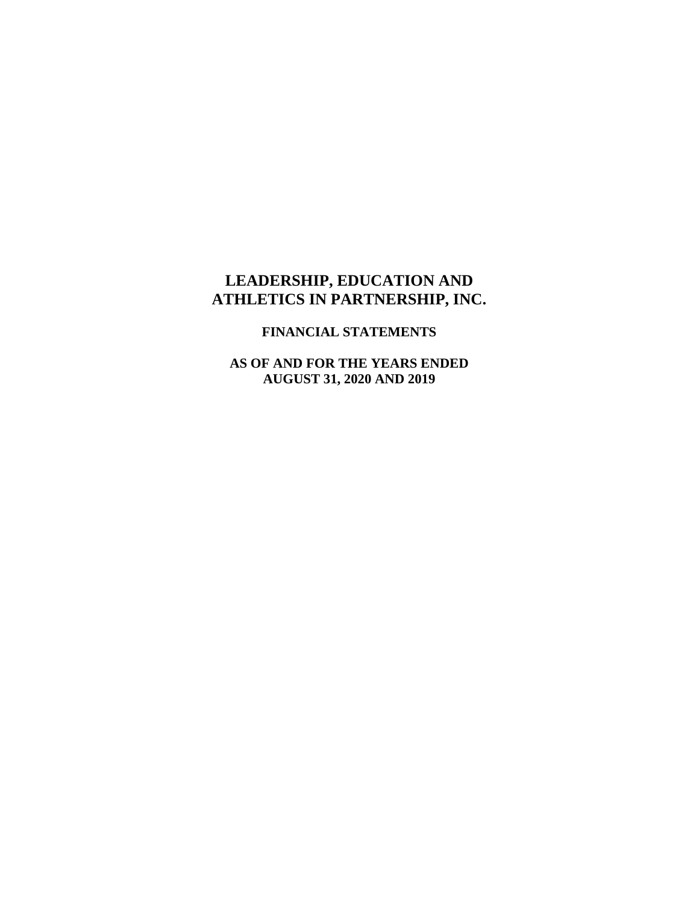#### **FINANCIAL STATEMENTS**

**AS OF AND FOR THE YEARS ENDED AUGUST 31, 2020 AND 2019**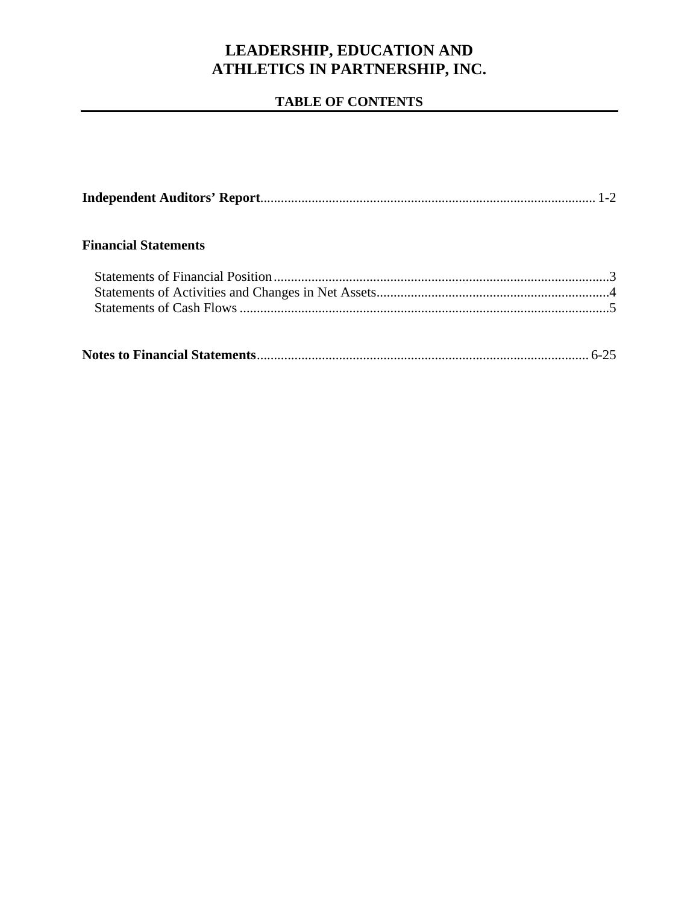### **TABLE OF CONTENTS**

| <b>Financial Statements</b> |  |
|-----------------------------|--|
|                             |  |
|                             |  |
|                             |  |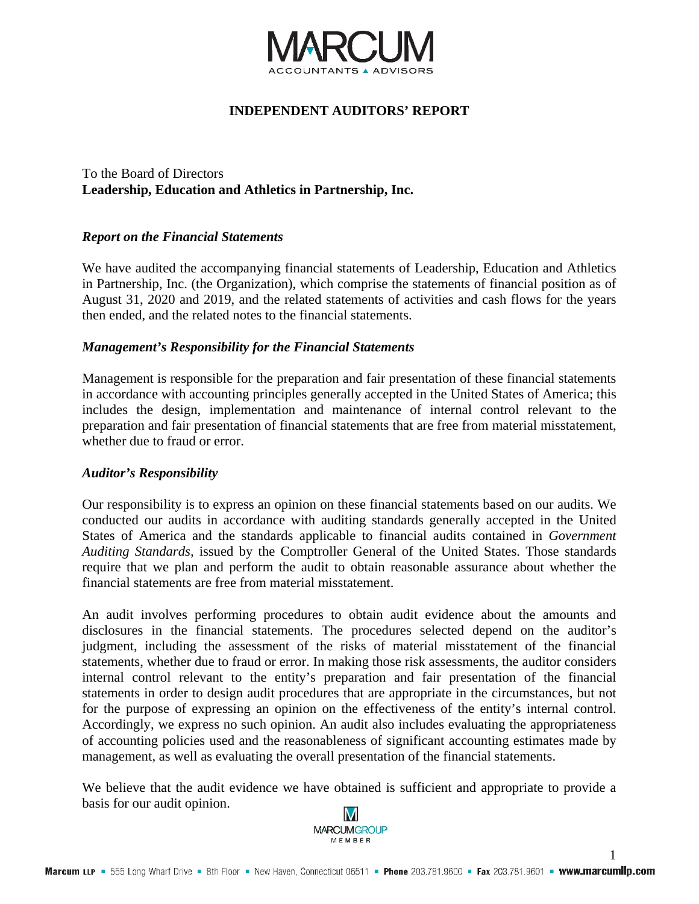

#### **INDEPENDENT AUDITORS' REPORT**

To the Board of Directors **Leadership, Education and Athletics in Partnership, Inc.** 

#### *Report on the Financial Statements*

We have audited the accompanying financial statements of Leadership, Education and Athletics in Partnership, Inc. (the Organization), which comprise the statements of financial position as of August 31, 2020 and 2019, and the related statements of activities and cash flows for the years then ended, and the related notes to the financial statements.

#### *Management's Responsibility for the Financial Statements*

Management is responsible for the preparation and fair presentation of these financial statements in accordance with accounting principles generally accepted in the United States of America; this includes the design, implementation and maintenance of internal control relevant to the preparation and fair presentation of financial statements that are free from material misstatement, whether due to fraud or error.

#### *Auditor's Responsibility*

Our responsibility is to express an opinion on these financial statements based on our audits. We conducted our audits in accordance with auditing standards generally accepted in the United States of America and the standards applicable to financial audits contained in *Government Auditing Standards,* issued by the Comptroller General of the United States. Those standards require that we plan and perform the audit to obtain reasonable assurance about whether the financial statements are free from material misstatement.

An audit involves performing procedures to obtain audit evidence about the amounts and disclosures in the financial statements. The procedures selected depend on the auditor's judgment, including the assessment of the risks of material misstatement of the financial statements, whether due to fraud or error. In making those risk assessments, the auditor considers internal control relevant to the entity's preparation and fair presentation of the financial statements in order to design audit procedures that are appropriate in the circumstances, but not for the purpose of expressing an opinion on the effectiveness of the entity's internal control. Accordingly, we express no such opinion. An audit also includes evaluating the appropriateness of accounting policies used and the reasonableness of significant accounting estimates made by management, as well as evaluating the overall presentation of the financial statements.

We believe that the audit evidence we have obtained is sufficient and appropriate to provide a basis for our audit opinion.



1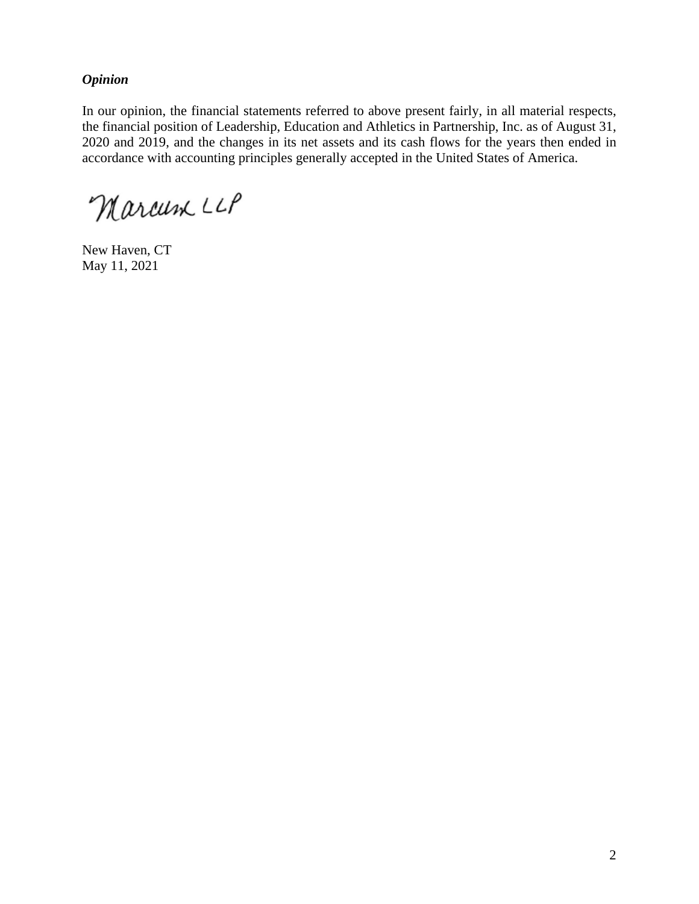#### *Opinion*

In our opinion, the financial statements referred to above present fairly, in all material respects, the financial position of Leadership, Education and Athletics in Partnership, Inc. as of August 31, 2020 and 2019, and the changes in its net assets and its cash flows for the years then ended in accordance with accounting principles generally accepted in the United States of America.

Marcum LLP

New Haven, CT May 11, 2021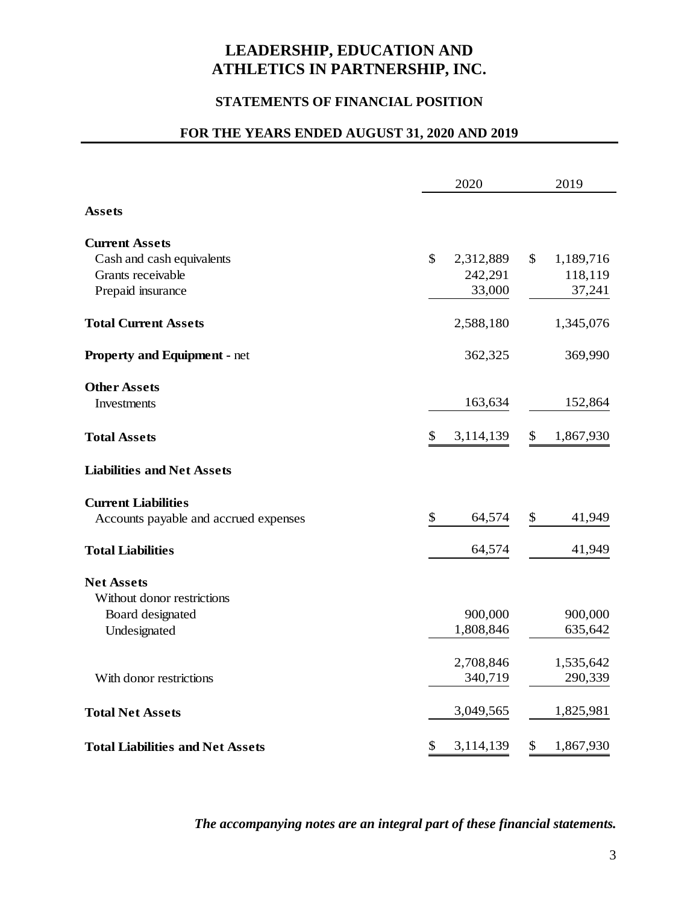### **STATEMENTS OF FINANCIAL POSITION**

### **FOR THE YEARS ENDED AUGUST 31, 2020 AND 2019**

|                                         | 2020            | 2019            |
|-----------------------------------------|-----------------|-----------------|
| <b>Assets</b>                           |                 |                 |
| <b>Current Assets</b>                   |                 |                 |
| Cash and cash equivalents               | \$<br>2,312,889 | \$<br>1,189,716 |
| Grants receivable                       | 242,291         | 118,119         |
| Prepaid insurance                       | 33,000          | 37,241          |
| <b>Total Current Assets</b>             | 2,588,180       | 1,345,076       |
| <b>Property and Equipment - net</b>     | 362,325         | 369,990         |
| <b>Other Assets</b>                     |                 |                 |
| Investments                             | 163,634         | 152,864         |
| <b>Total Assets</b>                     | \$<br>3,114,139 | \$<br>1,867,930 |
| <b>Liabilities and Net Assets</b>       |                 |                 |
| <b>Current Liabilities</b>              |                 |                 |
| Accounts payable and accrued expenses   | \$<br>64,574    | \$<br>41,949    |
| <b>Total Liabilities</b>                | 64,574          | 41,949          |
| <b>Net Assets</b>                       |                 |                 |
| Without donor restrictions              |                 |                 |
| Board designated                        | 900,000         | 900,000         |
| Undesignated                            | 1,808,846       | 635,642         |
|                                         | 2,708,846       | 1,535,642       |
| With donor restrictions                 | 340,719         | 290,339         |
| <b>Total Net Assets</b>                 | 3,049,565       | 1,825,981       |
| <b>Total Liabilities and Net Assets</b> | \$<br>3,114,139 | \$<br>1,867,930 |

#### *The accompanying notes are an integral part of these financial statements.*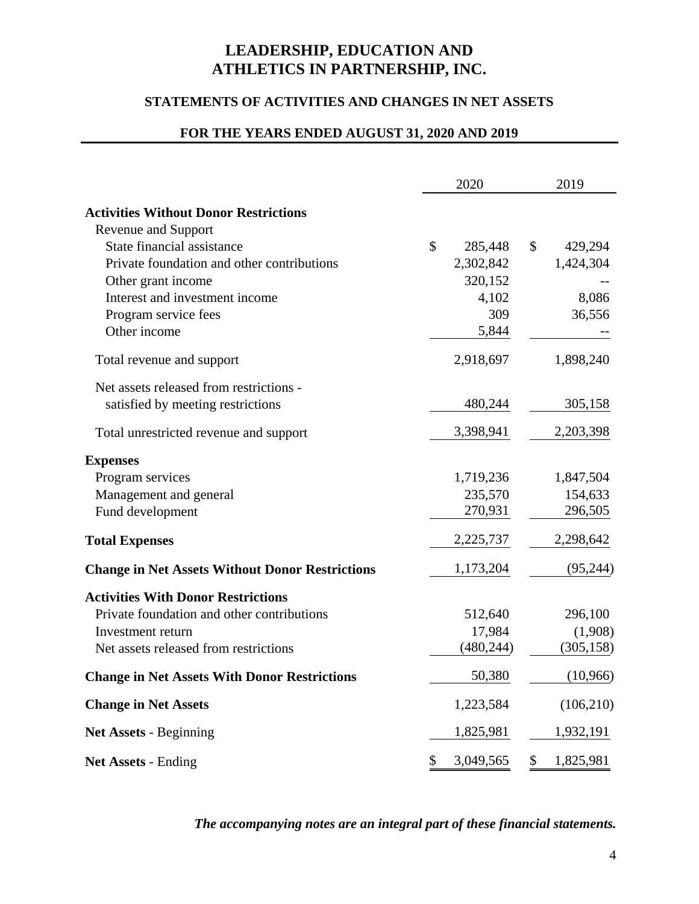#### **STATEMENTS OF ACTIVITIES AND CHANGES IN NET ASSETS**

### **FOR THE YEARS ENDED AUGUST 31, 2020 AND 2019**

|                                                        | 2020            | 2019            |
|--------------------------------------------------------|-----------------|-----------------|
| <b>Activities Without Donor Restrictions</b>           |                 |                 |
| <b>Revenue and Support</b>                             |                 |                 |
| State financial assistance                             | \$<br>285,448   | \$<br>429,294   |
| Private foundation and other contributions             | 2,302,842       | 1,424,304       |
| Other grant income                                     | 320,152         |                 |
| Interest and investment income                         | 4,102           | 8,086           |
| Program service fees                                   | 309             | 36,556          |
| Other income                                           | 5,844           |                 |
| Total revenue and support                              | 2,918,697       | 1,898,240       |
| Net assets released from restrictions -                |                 |                 |
| satisfied by meeting restrictions                      | 480,244         | 305,158         |
| Total unrestricted revenue and support                 | 3,398,941       | 2,203,398       |
| <b>Expenses</b>                                        |                 |                 |
| Program services                                       | 1,719,236       | 1,847,504       |
| Management and general                                 | 235,570         | 154,633         |
| Fund development                                       | 270,931         | 296,505         |
| <b>Total Expenses</b>                                  | 2,225,737       | 2,298,642       |
| <b>Change in Net Assets Without Donor Restrictions</b> | 1,173,204       | (95, 244)       |
| <b>Activities With Donor Restrictions</b>              |                 |                 |
| Private foundation and other contributions             | 512,640         | 296,100         |
| Investment return                                      | 17,984          | (1,908)         |
| Net assets released from restrictions                  | (480, 244)      | (305, 158)      |
| <b>Change in Net Assets With Donor Restrictions</b>    | 50,380          | (10,966)        |
| <b>Change in Net Assets</b>                            | 1,223,584       | (106,210)       |
| <b>Net Assets - Beginning</b>                          | 1,825,981       | 1,932,191       |
| <b>Net Assets - Ending</b>                             | \$<br>3,049,565 | \$<br>1,825,981 |

#### *The accompanying notes are an integral part of these financial statements.*